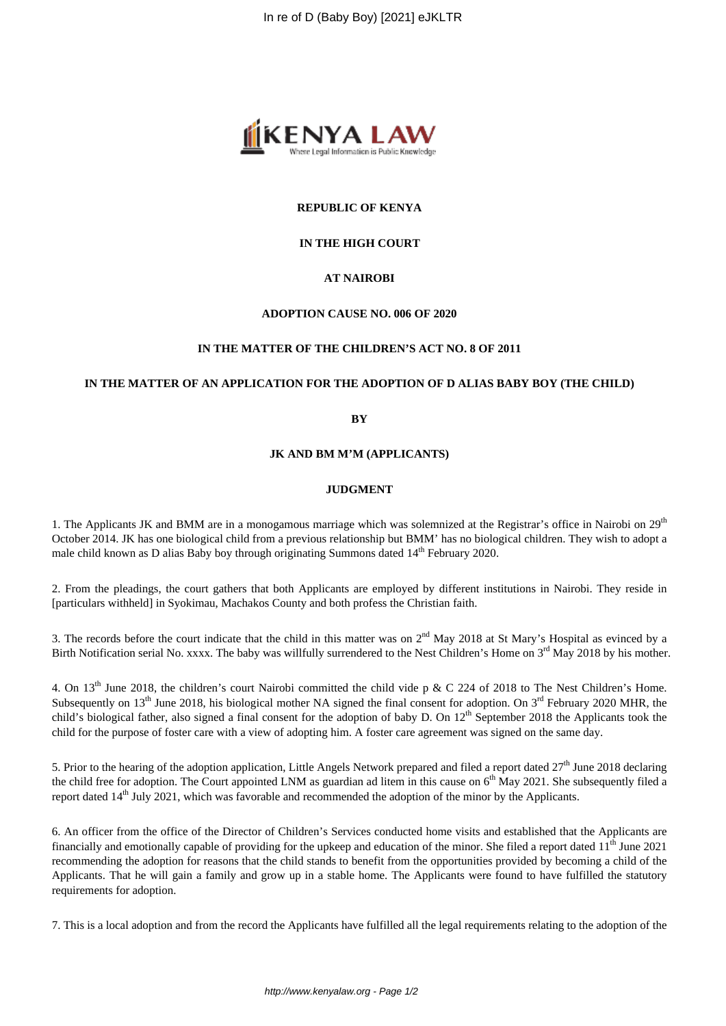

## **REPUBLIC OF KENYA**

## **IN THE HIGH COURT**

## **AT NAIROBI**

#### **ADOPTION CAUSE NO. 006 OF 2020**

#### **IN THE MATTER OF THE CHILDREN'S ACT NO. 8 OF 2011**

#### **IN THE MATTER OF AN APPLICATION FOR THE ADOPTION OF D ALIAS BABY BOY (THE CHILD)**

#### **BY**

#### **JK AND BM M'M (APPLICANTS)**

#### **JUDGMENT**

1. The Applicants JK and BMM are in a monogamous marriage which was solemnized at the Registrar's office in Nairobi on  $29<sup>th</sup>$ October 2014. JK has one biological child from a previous relationship but BMM' has no biological children. They wish to adopt a male child known as D alias Baby boy through originating Summons dated  $14<sup>th</sup>$  February 2020.

2. From the pleadings, the court gathers that both Applicants are employed by different institutions in Nairobi. They reside in [particulars withheld] in Syokimau, Machakos County and both profess the Christian faith.

3. The records before the court indicate that the child in this matter was on  $2<sup>nd</sup>$  May 2018 at St Mary's Hospital as evinced by a Birth Notification serial No. xxxx. The baby was willfully surrendered to the Nest Children's Home on 3<sup>rd</sup> May 2018 by his mother.

4. On 13th June 2018, the children's court Nairobi committed the child vide p & C 224 of 2018 to The Nest Children's Home. Subsequently on  $13<sup>th</sup>$  June 2018, his biological mother NA signed the final consent for adoption. On  $3<sup>rd</sup>$  February 2020 MHR, the child's biological father, also signed a final consent for the adoption of baby D. On 12<sup>th</sup> September 2018 the Applicants took the child for the purpose of foster care with a view of adopting him. A foster care agreement was signed on the same day.

5. Prior to the hearing of the adoption application, Little Angels Network prepared and filed a report dated  $27<sup>th</sup>$  June 2018 declaring the child free for adoption. The Court appointed LNM as guardian ad litem in this cause on  $6<sup>th</sup>$  May 2021. She subsequently filed a report dated 14th July 2021, which was favorable and recommended the adoption of the minor by the Applicants.

6. An officer from the office of the Director of Children's Services conducted home visits and established that the Applicants are financially and emotionally capable of providing for the upkeep and education of the minor. She filed a report dated  $11<sup>th</sup>$  June 2021 recommending the adoption for reasons that the child stands to benefit from the opportunities provided by becoming a child of the Applicants. That he will gain a family and grow up in a stable home. The Applicants were found to have fulfilled the statutory requirements for adoption.

7. This is a local adoption and from the record the Applicants have fulfilled all the legal requirements relating to the adoption of the